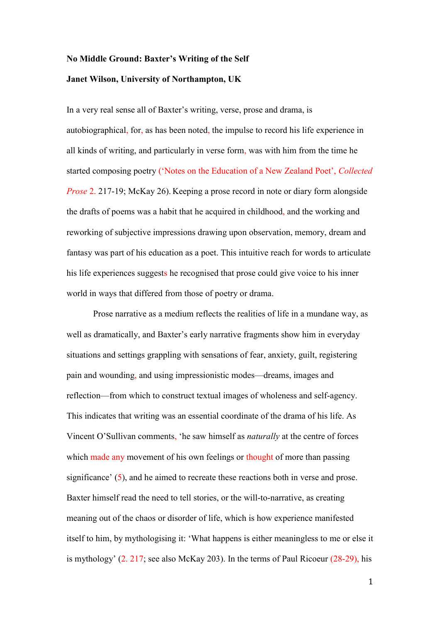# **No Middle Ground: Baxter's Writing of the Self Janet Wilson, University of Northampton, UK**

In a very real sense all of Baxter's writing, verse, prose and drama, is autobiographical, for, as has been noted, the impulse to record his life experience in all kinds of writing, and particularly in verse form, was with him from the time he started composing poetry ('Notes on the Education of a New Zealand Poet', *Collected Prose* 2. 217-19; McKay 26). Keeping a prose record in note or diary form alongside the drafts of poems was a habit that he acquired in childhood, and the working and reworking of subjective impressions drawing upon observation, memory, dream and fantasy was part of his education as a poet. This intuitive reach for words to articulate his life experiences suggests he recognised that prose could give voice to his inner world in ways that differed from those of poetry or drama.

Prose narrative as a medium reflects the realities of life in a mundane way, as well as dramatically, and Baxter's early narrative fragments show him in everyday situations and settings grappling with sensations of fear, anxiety, guilt, registering pain and wounding, and using impressionistic modes—dreams, images and reflection—from which to construct textual images of wholeness and self-agency. This indicates that writing was an essential coordinate of the drama of his life. As Vincent O'Sullivan comments, 'he saw himself as *naturally* at the centre of forces which made any movement of his own feelings or thought of more than passing significance' (5), and he aimed to recreate these reactions both in verse and prose. Baxter himself read the need to tell stories, or the will-to-narrative, as creating meaning out of the chaos or disorder of life, which is how experience manifested itself to him, by mythologising it: 'What happens is either meaningless to me or else it is mythology' (2. 217; see also McKay 203). In the terms of Paul Ricoeur (28-29), his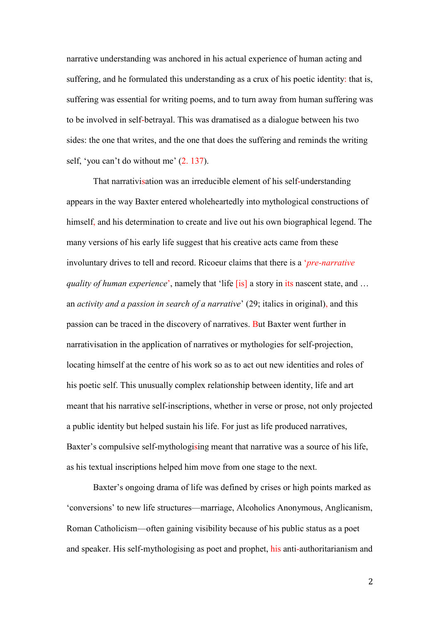narrative understanding was anchored in his actual experience of human acting and suffering, and he formulated this understanding as a crux of his poetic identity: that is, suffering was essential for writing poems, and to turn away from human suffering was to be involved in self-betrayal. This was dramatised as a dialogue between his two sides: the one that writes, and the one that does the suffering and reminds the writing self, 'you can't do without me' (2. 137).

That narrativisation was an irreducible element of his self-understanding appears in the way Baxter entered wholeheartedly into mythological constructions of himself, and his determination to create and live out his own biographical legend. The many versions of his early life suggest that his creative acts came from these involuntary drives to tell and record. Ricoeur claims that there is a '*pre-narrative quality of human experience*', namely that 'life [is] a story in its nascent state, and ... an *activity and a passion in search of a narrative*' (29; italics in original), and this passion can be traced in the discovery of narratives. But Baxter went further in narrativisation in the application of narratives or mythologies for self-projection, locating himself at the centre of his work so as to act out new identities and roles of his poetic self. This unusually complex relationship between identity, life and art meant that his narrative self-inscriptions, whether in verse or prose, not only projected a public identity but helped sustain his life. For just as life produced narratives, Baxter's compulsive self-mythologising meant that narrative was a source of his life, as his textual inscriptions helped him move from one stage to the next.

Baxter's ongoing drama of life was defined by crises or high points marked as 'conversions' to new life structures—marriage, Alcoholics Anonymous, Anglicanism, Roman Catholicism—often gaining visibility because of his public status as a poet and speaker. His self-mythologising as poet and prophet, his anti-authoritarianism and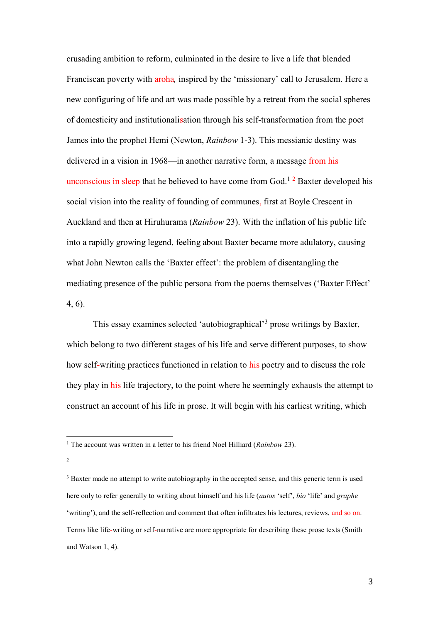crusading ambition to reform, culminated in the desire to live a life that blended Franciscan poverty with aroha*,* inspired by the 'missionary' call to Jerusalem. Here a new configuring of life and art was made possible by a retreat from the social spheres of domesticity and institutionalisation through his self-transformation from the poet James into the prophet Hemi (Newton, *Rainbow* 1-3). This messianic destiny was delivered in a vision in 1968—in another narrative form, a message from his unconscious in sleep that he believed to have come from  $God.<sup>12</sup>$  Baxter developed his social vision into the reality of founding of communes, first at Boyle Crescent in Auckland and then at Hiruhurama (*Rainbow* 23). With the inflation of his public life into a rapidly growing legend, feeling about Baxter became more adulatory, causing what John Newton calls the 'Baxter effect': the problem of disentangling the mediating presence of the public persona from the poems themselves ('Baxter Effect' 4, 6).

This essay examines selected 'autobiographical'<sup>3</sup> prose writings by Baxter, which belong to two different stages of his life and serve different purposes, to show how self-writing practices functioned in relation to his poetry and to discuss the role they play in his life trajectory, to the point where he seemingly exhausts the attempt to construct an account of his life in prose. It will begin with his earliest writing, which

2

 $\overline{a}$ 

<sup>1</sup> The account was written in a letter to his friend Noel Hilliard (*Rainbow* 23).

<sup>&</sup>lt;sup>3</sup> Baxter made no attempt to write autobiography in the accepted sense, and this generic term is used here only to refer generally to writing about himself and his life (*autos* 'self', *bio* 'life' and *graphe* 'writing'), and the self-reflection and comment that often infiltrates his lectures, reviews, and so on. Terms like life-writing or self-narrative are more appropriate for describing these prose texts (Smith and Watson 1, 4).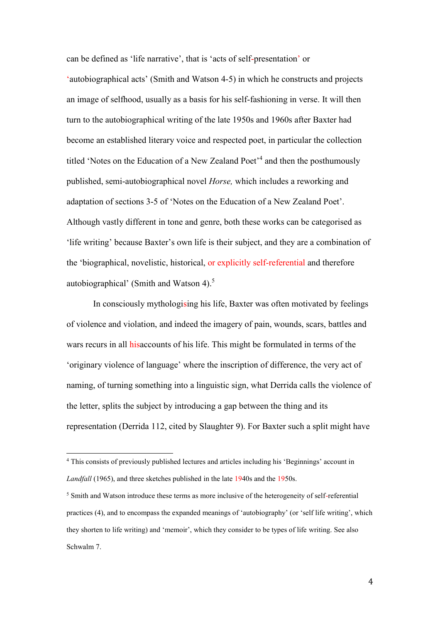can be defined as 'life narrative', that is 'acts of self-presentation' or 'autobiographical acts' (Smith and Watson 4-5) in which he constructs and projects an image of selfhood, usually as a basis for his self-fashioning in verse. It will then turn to the autobiographical writing of the late 1950s and 1960s after Baxter had become an established literary voice and respected poet, in particular the collection titled 'Notes on the Education of a New Zealand Poet<sup>'4</sup> and then the posthumously published, semi-autobiographical novel *Horse,* which includes a reworking and adaptation of sections 3-5 of 'Notes on the Education of a New Zealand Poet'. Although vastly different in tone and genre, both these works can be categorised as 'life writing' because Baxter's own life is their subject, and they are a combination of the 'biographical, novelistic, historical, or explicitly self-referential and therefore autobiographical' (Smith and Watson 4).<sup>5</sup>

In consciously mythologising his life, Baxter was often motivated by feelings of violence and violation, and indeed the imagery of pain, wounds, scars, battles and wars recurs in all hisaccounts of his life. This might be formulated in terms of the 'originary violence of language' where the inscription of difference, the very act of naming, of turning something into a linguistic sign, what Derrida calls the violence of the letter, splits the subject by introducing a gap between the thing and its representation (Derrida 112, cited by Slaughter 9). For Baxter such a split might have

<sup>4</sup> This consists of previously published lectures and articles including his 'Beginnings' account in *Landfall* (1965), and three sketches published in the late 1940s and the 1950s.

<sup>&</sup>lt;sup>5</sup> Smith and Watson introduce these terms as more inclusive of the heterogeneity of self-referential practices (4), and to encompass the expanded meanings of 'autobiography' (or 'self life writing', which they shorten to life writing) and 'memoir', which they consider to be types of life writing. See also Schwalm 7.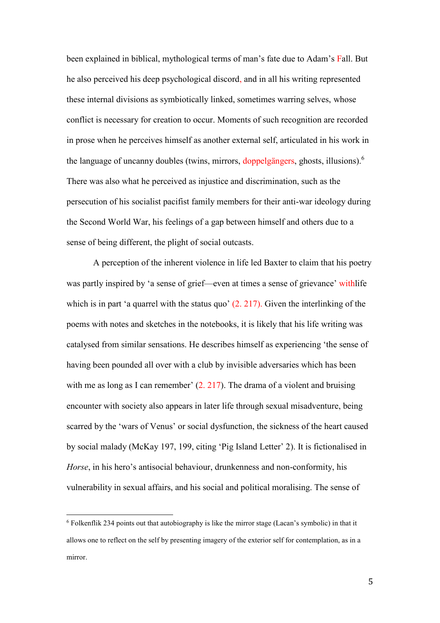been explained in biblical, mythological terms of man's fate due to Adam's Fall. But he also perceived his deep psychological discord, and in all his writing represented these internal divisions as symbiotically linked, sometimes warring selves, whose conflict is necessary for creation to occur. Moments of such recognition are recorded in prose when he perceives himself as another external self, articulated in his work in the language of uncanny doubles (twins, mirrors, doppelgängers, ghosts, illusions).<sup>6</sup> There was also what he perceived as injustice and discrimination, such as the persecution of his socialist pacifist family members for their anti-war ideology during the Second World War, his feelings of a gap between himself and others due to a sense of being different, the plight of social outcasts.

A perception of the inherent violence in life led Baxter to claim that his poetry was partly inspired by 'a sense of grief—even at times a sense of grievance' withlife which is in part 'a quarrel with the status quo'  $(2. 217)$ . Given the interlinking of the poems with notes and sketches in the notebooks, it is likely that his life writing was catalysed from similar sensations. He describes himself as experiencing 'the sense of having been pounded all over with a club by invisible adversaries which has been with me as long as I can remember'  $(2. 217)$ . The drama of a violent and bruising encounter with society also appears in later life through sexual misadventure, being scarred by the 'wars of Venus' or social dysfunction, the sickness of the heart caused by social malady (McKay 197, 199, citing 'Pig Island Letter' 2). It is fictionalised in *Horse*, in his hero's antisocial behaviour, drunkenness and non-conformity, his vulnerability in sexual affairs, and his social and political moralising. The sense of

<sup>6</sup> Folkenflik 234 points out that autobiography is like the mirror stage (Lacan's symbolic) in that it allows one to reflect on the self by presenting imagery of the exterior self for contemplation, as in a mirror.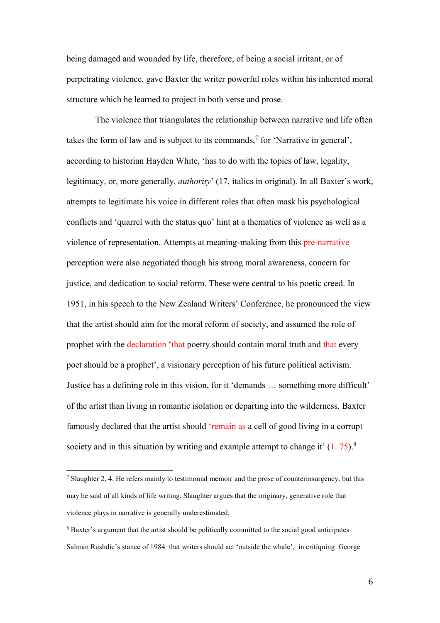being damaged and wounded by life, therefore, of being a social irritant, or of perpetrating violence, gave Baxter the writer powerful roles within his inherited moral structure which he learned to project in both verse and prose.

The violence that triangulates the relationship between narrative and life often takes the form of law and is subject to its commands,<sup>7</sup> for 'Narrative in general', according to historian Hayden White, 'has to do with the topics of law, legality, legitimacy, or, more generally, *authority*' (17, italics in original). In all Baxter's work, attempts to legitimate his voice in different roles that often mask his psychological conflicts and 'quarrel with the status quo' hint at a thematics of violence as well as a violence of representation. Attempts at meaning-making from this pre-narrative perception were also negotiated though his strong moral awareness, concern for justice, and dedication to social reform. These were central to his poetic creed. In 1951, in his speech to the New Zealand Writers' Conference, he pronounced the view that the artist should aim for the moral reform of society, and assumed the role of prophet with the declaration 'that poetry should contain moral truth and that every poet should be a prophet', a visionary perception of his future political activism. Justice has a defining role in this vision, for it 'demands … something more difficult' of the artist than living in romantic isolation or departing into the wilderness. Baxter famously declared that the artist should 'remain as a cell of good living in a corrupt society and in this situation by writing and example attempt to change it'  $(1.75)^8$ .

<sup>&</sup>lt;sup>7</sup> Slaughter 2, 4. He refers mainly to testimonial memoir and the prose of counterinsurgency, but this may be said of all kinds of life writing. Slaughter argues that the originary, generative role that violence plays in narrative is generally underestimated.

<sup>8</sup> Baxter's argument that the artist should be politically committed to the social good anticipates Salman Rushdie's stance of 1984 that writers should act 'outside the whale', in critiquing George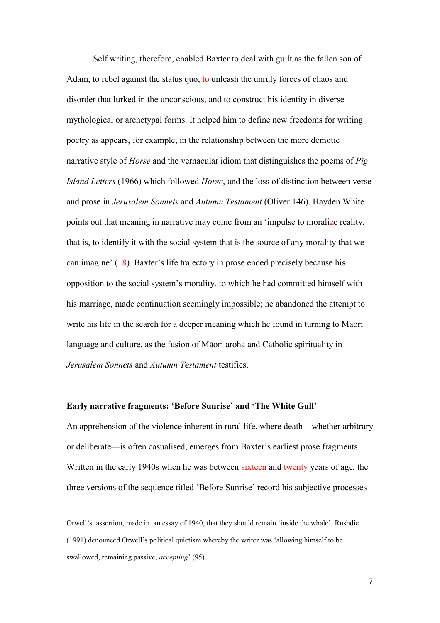Self writing, therefore, enabled Baxter to deal with guilt as the fallen son of Adam, to rebel against the status quo, to unleash the unruly forces of chaos and disorder that lurked in the unconscious, and to construct his identity in diverse mythological or archetypal forms. It helped him to define new freedoms for writing poetry as appears, for example, in the relationship between the more demotic narrative style of *Horse* and the vernacular idiom that distinguishes the poems of *Pig Island Letters* (1966) which followed *Horse*, and the loss of distinction between verse and prose in *Jerusalem Sonnets* and *Autumn Testament* (Oliver 146). Hayden White points out that meaning in narrative may come from an 'impulse to moralize reality, that is, to identify it with the social system that is the source of any morality that we can imagine' (18). Baxter's life trajectory in prose ended precisely because his opposition to the social system's morality, to which he had committed himself with his marriage, made continuation seemingly impossible; he abandoned the attempt to write his life in the search for a deeper meaning which he found in turning to Maori language and culture, as the fusion of Māori aroha and Catholic spirituality in *Jerusalem Sonnets* and *Autumn Testament* testifies.

### **Early narrative fragments: 'Before Sunrise' and 'The White Gull'**

An apprehension of the violence inherent in rural life, where death—whether arbitrary or deliberate—is often casualised, emerges from Baxter's earliest prose fragments. Written in the early 1940s when he was between sixteen and twenty years of age, the three versions of the sequence titled 'Before Sunrise' record his subjective processes

Orwell's assertion, made in an essay of 1940, that they should remain 'inside the whale'. Rushdie (1991) denounced Orwell's political quietism whereby the writer was 'allowing himself to be

swallowed, remaining passive, *accepting*' (95).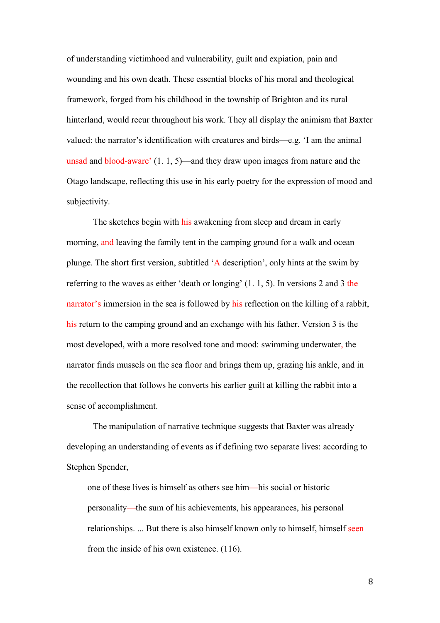of understanding victimhood and vulnerability, guilt and expiation, pain and wounding and his own death. These essential blocks of his moral and theological framework, forged from his childhood in the township of Brighton and its rural hinterland, would recur throughout his work. They all display the animism that Baxter valued: the narrator's identification with creatures and birds—e.g. 'I am the animal unsad and blood-aware' (1. 1, 5)—and they draw upon images from nature and the Otago landscape, reflecting this use in his early poetry for the expression of mood and subjectivity.

The sketches begin with his awakening from sleep and dream in early morning, and leaving the family tent in the camping ground for a walk and ocean plunge. The short first version, subtitled 'A description', only hints at the swim by referring to the waves as either 'death or longing' (1. 1, 5). In versions 2 and 3 the narrator's immersion in the sea is followed by his reflection on the killing of a rabbit, his return to the camping ground and an exchange with his father. Version 3 is the most developed, with a more resolved tone and mood: swimming underwater, the narrator finds mussels on the sea floor and brings them up, grazing his ankle, and in the recollection that follows he converts his earlier guilt at killing the rabbit into a sense of accomplishment.

The manipulation of narrative technique suggests that Baxter was already developing an understanding of events as if defining two separate lives: according to Stephen Spender,

one of these lives is himself as others see him—his social or historic personality—the sum of his achievements, his appearances, his personal relationships. ... But there is also himself known only to himself, himself seen from the inside of his own existence. (116).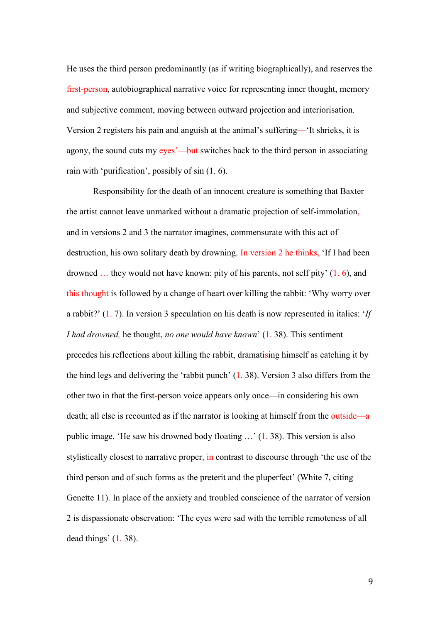He uses the third person predominantly (as if writing biographically), and reserves the first-person, autobiographical narrative voice for representing inner thought, memory and subjective comment, moving between outward projection and interiorisation. Version 2 registers his pain and anguish at the animal's suffering—'It shrieks, it is agony, the sound cuts my eyes'—but switches back to the third person in associating rain with 'purification', possibly of sin (1. 6).

Responsibility for the death of an innocent creature is something that Baxter the artist cannot leave unmarked without a dramatic projection of self-immolation, and in versions 2 and 3 the narrator imagines, commensurate with this act of destruction, his own solitary death by drowning. In version 2 he thinks, 'If I had been drowned … they would not have known: pity of his parents, not self pity' (1. 6), and this thought is followed by a change of heart over killing the rabbit: 'Why worry over a rabbit?' (1. 7). In version 3 speculation on his death is now represented in italics: '*If I had drowned,* he thought, *no one would have known*' (1. 38). This sentiment precedes his reflections about killing the rabbit, dramatising himself as catching it by the hind legs and delivering the 'rabbit punch' (1. 38). Version 3 also differs from the other two in that the first-person voice appears only once—in considering his own death; all else is recounted as if the narrator is looking at himself from the outside—a public image. 'He saw his drowned body floating …' (1. 38). This version is also stylistically closest to narrative proper, in contrast to discourse through 'the use of the third person and of such forms as the preterit and the pluperfect' (White 7, citing Genette 11). In place of the anxiety and troubled conscience of the narrator of version 2 is dispassionate observation: 'The eyes were sad with the terrible remoteness of all dead things' (1. 38).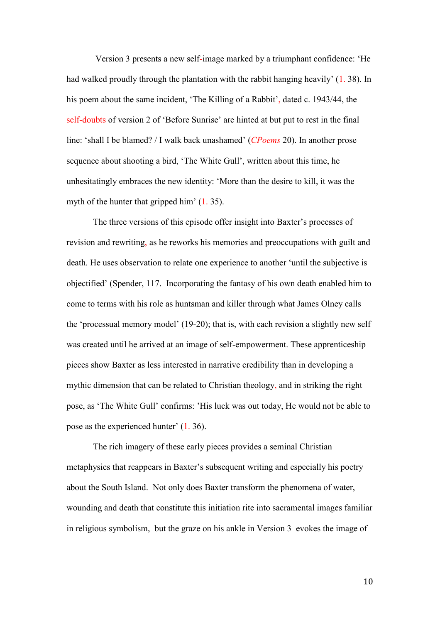Version 3 presents a new self-image marked by a triumphant confidence: 'He had walked proudly through the plantation with the rabbit hanging heavily' (1. 38). In his poem about the same incident, 'The Killing of a Rabbit', dated c. 1943/44, the self-doubts of version 2 of 'Before Sunrise' are hinted at but put to rest in the final line: 'shall I be blamed? / I walk back unashamed' (*CPoems* 20). In another prose sequence about shooting a bird, 'The White Gull', written about this time, he unhesitatingly embraces the new identity: 'More than the desire to kill, it was the myth of the hunter that gripped him'  $(1, 35)$ .

The three versions of this episode offer insight into Baxter's processes of revision and rewriting, as he reworks his memories and preoccupations with guilt and death. He uses observation to relate one experience to another 'until the subjective is objectified' (Spender, 117. Incorporating the fantasy of his own death enabled him to come to terms with his role as huntsman and killer through what James Olney calls the 'processual memory model' (19-20); that is, with each revision a slightly new self was created until he arrived at an image of self-empowerment. These apprenticeship pieces show Baxter as less interested in narrative credibility than in developing a mythic dimension that can be related to Christian theology, and in striking the right pose, as 'The White Gull' confirms: 'His luck was out today, He would not be able to pose as the experienced hunter' (1. 36).

The rich imagery of these early pieces provides a seminal Christian metaphysics that reappears in Baxter's subsequent writing and especially his poetry about the South Island. Not only does Baxter transform the phenomena of water, wounding and death that constitute this initiation rite into sacramental images familiar in religious symbolism, but the graze on his ankle in Version 3 evokes the image of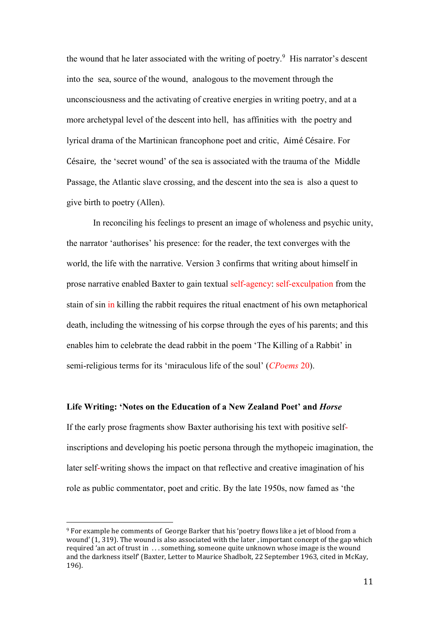the wound that he later associated with the writing of poetry.<sup>9</sup> His narrator's descent into the sea, source of the wound, analogous to the movement through the unconsciousness and the activating of creative energies in writing poetry, and at a more archetypal level of the descent into hell, has affinities with the poetry and lyrical drama of the Martinican francophone poet and critic, Aimé Césaire. For Césaire, the 'secret wound' of the sea is associated with the trauma of the Middle Passage, the Atlantic slave crossing, and the descent into the sea is also a quest to give birth to poetry (Allen).

In reconciling his feelings to present an image of wholeness and psychic unity, the narrator 'authorises' his presence: for the reader, the text converges with the world, the life with the narrative. Version 3 confirms that writing about himself in prose narrative enabled Baxter to gain textual self-agency: self-exculpation from the stain of sin in killing the rabbit requires the ritual enactment of his own metaphorical death, including the witnessing of his corpse through the eyes of his parents; and this enables him to celebrate the dead rabbit in the poem 'The Killing of a Rabbit' in semi-religious terms for its 'miraculous life of the soul' (*CPoems* 20).

#### **Life Writing: 'Notes on the Education of a New Zealand Poet' and** *Horse*

If the early prose fragments show Baxter authorising his text with positive selfinscriptions and developing his poetic persona through the mythopeic imagination, the later self-writing shows the impact on that reflective and creative imagination of his role as public commentator, poet and critic. By the late 1950s, now famed as 'the

 $\overline{a}$ 

<sup>9</sup> For example he comments of George Barker that his 'poetry flows like a jet of blood from a wound' (1, 319). The wound is also associated with the later , important concept of the gap which required 'an act of trust in . . . something, someone quite unknown whose image is the wound and the darkness itself' (Baxter, Letter to Maurice Shadbolt, 22 September 1963, cited in McKay, 196).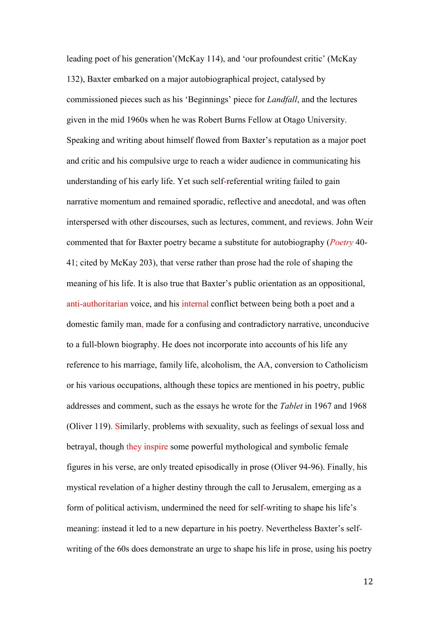leading poet of his generation'(McKay 114), and 'our profoundest critic' (McKay 132), Baxter embarked on a major autobiographical project, catalysed by commissioned pieces such as his 'Beginnings' piece for *Landfall*, and the lectures given in the mid 1960s when he was Robert Burns Fellow at Otago University. Speaking and writing about himself flowed from Baxter's reputation as a major poet and critic and his compulsive urge to reach a wider audience in communicating his understanding of his early life. Yet such self-referential writing failed to gain narrative momentum and remained sporadic, reflective and anecdotal, and was often interspersed with other discourses, such as lectures, comment, and reviews. John Weir commented that for Baxter poetry became a substitute for autobiography (*Poetry* 40- 41; cited by McKay 203), that verse rather than prose had the role of shaping the meaning of his life. It is also true that Baxter's public orientation as an oppositional, anti-authoritarian voice, and his internal conflict between being both a poet and a domestic family man, made for a confusing and contradictory narrative, unconducive to a full-blown biography. He does not incorporate into accounts of his life any reference to his marriage, family life, alcoholism, the AA, conversion to Catholicism or his various occupations, although these topics are mentioned in his poetry, public addresses and comment, such as the essays he wrote for the *Tablet* in 1967 and 1968 (Oliver 119). Similarly, problems with sexuality, such as feelings of sexual loss and betrayal, though they inspire some powerful mythological and symbolic female figures in his verse, are only treated episodically in prose (Oliver 94-96). Finally, his mystical revelation of a higher destiny through the call to Jerusalem, emerging as a form of political activism, undermined the need for self-writing to shape his life's meaning: instead it led to a new departure in his poetry. Nevertheless Baxter's selfwriting of the 60s does demonstrate an urge to shape his life in prose, using his poetry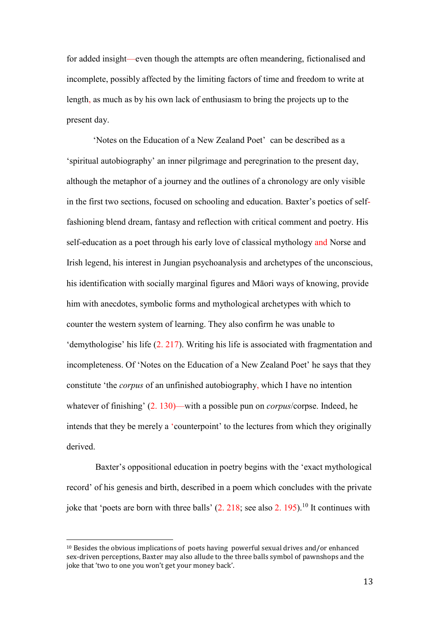for added insight—even though the attempts are often meandering, fictionalised and incomplete, possibly affected by the limiting factors of time and freedom to write at length, as much as by his own lack of enthusiasm to bring the projects up to the present day.

'Notes on the Education of a New Zealand Poet' can be described as a 'spiritual autobiography' an inner pilgrimage and peregrination to the present day, although the metaphor of a journey and the outlines of a chronology are only visible in the first two sections, focused on schooling and education. Baxter's poetics of selffashioning blend dream, fantasy and reflection with critical comment and poetry. His self-education as a poet through his early love of classical mythology and Norse and Irish legend, his interest in Jungian psychoanalysis and archetypes of the unconscious, his identification with socially marginal figures and Māori ways of knowing, provide him with anecdotes, symbolic forms and mythological archetypes with which to counter the western system of learning. They also confirm he was unable to 'demythologise' his life (2. 217). Writing his life is associated with fragmentation and incompleteness. Of 'Notes on the Education of a New Zealand Poet' he says that they constitute 'the *corpus* of an unfinished autobiography, which I have no intention whatever of finishing' (2. 130)—with a possible pun on *corpus*/corpse. Indeed, he intends that they be merely a 'counterpoint' to the lectures from which they originally derived.

Baxter's oppositional education in poetry begins with the 'exact mythological record' of his genesis and birth, described in a poem which concludes with the private joke that 'poets are born with three balls'  $(2. 218)$ ; see also 2. 195).<sup>10</sup> It continues with

<sup>10</sup> Besides the obvious implications of poets having powerful sexual drives and/or enhanced sex-driven perceptions, Baxter may also allude to the three balls symbol of pawnshops and the joke that 'two to one you won't get your money back'.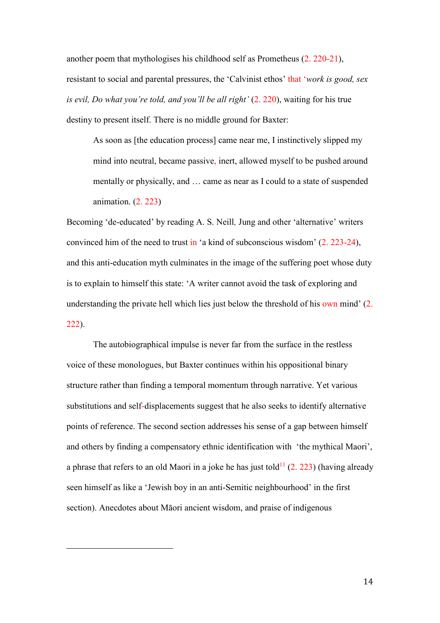another poem that mythologises his childhood self as Prometheus (2. 220-21), resistant to social and parental pressures, the 'Calvinist ethos' that '*work is good, sex is evil, Do what you're told, and you'll be all right'* (2. 220), waiting for his true destiny to present itself. There is no middle ground for Baxter:

As soon as [the education process] came near me, I instinctively slipped my mind into neutral, became passive, inert, allowed myself to be pushed around mentally or physically, and … came as near as I could to a state of suspended animation. (2. 223)

Becoming 'de-educated' by reading A. S. Neill*,* Jung and other 'alternative' writers convinced him of the need to trust in 'a kind of subconscious wisdom' (2. 223-24), and this anti-education myth culminates in the image of the suffering poet whose duty is to explain to himself this state: 'A writer cannot avoid the task of exploring and understanding the private hell which lies just below the threshold of his own mind' (2. 222).

The autobiographical impulse is never far from the surface in the restless voice of these monologues, but Baxter continues within his oppositional binary structure rather than finding a temporal momentum through narrative. Yet various substitutions and self-displacements suggest that he also seeks to identify alternative points of reference. The second section addresses his sense of a gap between himself and others by finding a compensatory ethnic identification with 'the mythical Maori', a phrase that refers to an old Maori in a joke he has just told<sup>11</sup> (2. 223) (having already seen himself as like a 'Jewish boy in an anti-Semitic neighbourhood' in the first section). Anecdotes about Māori ancient wisdom, and praise of indigenous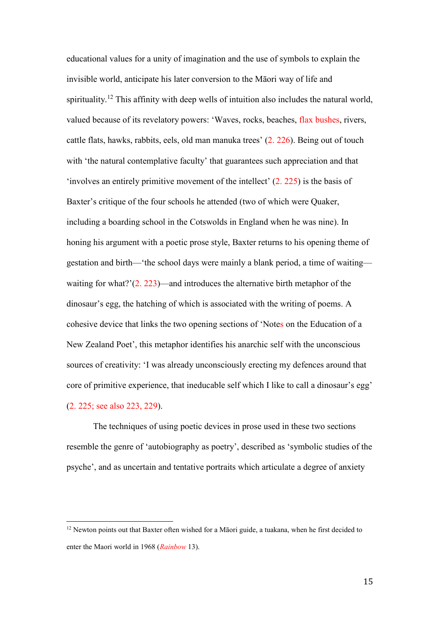educational values for a unity of imagination and the use of symbols to explain the invisible world, anticipate his later conversion to the Māori way of life and spirituality.<sup>12</sup> This affinity with deep wells of intuition also includes the natural world, valued because of its revelatory powers: 'Waves, rocks, beaches, flax bushes, rivers, cattle flats, hawks, rabbits, eels, old man manuka trees' (2. 226). Being out of touch with 'the natural contemplative faculty' that guarantees such appreciation and that 'involves an entirely primitive movement of the intellect' (2. 225) is the basis of Baxter's critique of the four schools he attended (two of which were Quaker, including a boarding school in the Cotswolds in England when he was nine). In honing his argument with a poetic prose style, Baxter returns to his opening theme of gestation and birth—'the school days were mainly a blank period, a time of waiting waiting for what?'(2. 223)—and introduces the alternative birth metaphor of the dinosaur's egg, the hatching of which is associated with the writing of poems. A cohesive device that links the two opening sections of 'Notes on the Education of a New Zealand Poet', this metaphor identifies his anarchic self with the unconscious sources of creativity: 'I was already unconsciously erecting my defences around that core of primitive experience, that ineducable self which I like to call a dinosaur's egg' (2. 225; see also 223, 229).

The techniques of using poetic devices in prose used in these two sections resemble the genre of 'autobiography as poetry', described as 'symbolic studies of the psyche', and as uncertain and tentative portraits which articulate a degree of anxiety

<sup>&</sup>lt;sup>12</sup> Newton points out that Baxter often wished for a Māori guide, a tuakana, when he first decided to enter the Maori world in 1968 (*Rainbow* 13).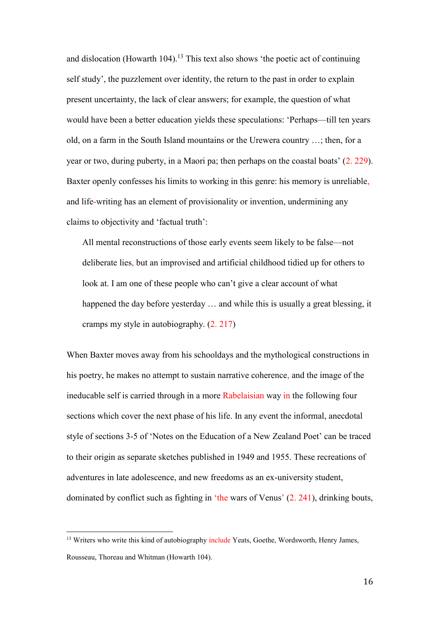and dislocation (Howarth 104).<sup>13</sup> This text also shows 'the poetic act of continuing self study', the puzzlement over identity, the return to the past in order to explain present uncertainty, the lack of clear answers; for example, the question of what would have been a better education yields these speculations: 'Perhaps—till ten years old, on a farm in the South Island mountains or the Urewera country …; then, for a year or two, during puberty, in a Maori pa; then perhaps on the coastal boats' (2. 229). Baxter openly confesses his limits to working in this genre: his memory is unreliable, and life-writing has an element of provisionality or invention, undermining any claims to objectivity and 'factual truth':

All mental reconstructions of those early events seem likely to be false—not deliberate lies, but an improvised and artificial childhood tidied up for others to look at. I am one of these people who can't give a clear account of what happened the day before yesterday … and while this is usually a great blessing, it cramps my style in autobiography. (2. 217)

When Baxter moves away from his schooldays and the mythological constructions in his poetry, he makes no attempt to sustain narrative coherence, and the image of the ineducable self is carried through in a more Rabelaisian way in the following four sections which cover the next phase of his life. In any event the informal, anecdotal style of sections 3-5 of 'Notes on the Education of a New Zealand Poet' can be traced to their origin as separate sketches published in 1949 and 1955. These recreations of adventures in late adolescence, and new freedoms as an ex-university student, dominated by conflict such as fighting in 'the wars of Venus' (2. 241), drinking bouts,

<sup>&</sup>lt;sup>13</sup> Writers who write this kind of autobiography include Yeats, Goethe, Wordsworth, Henry James, Rousseau, Thoreau and Whitman (Howarth 104).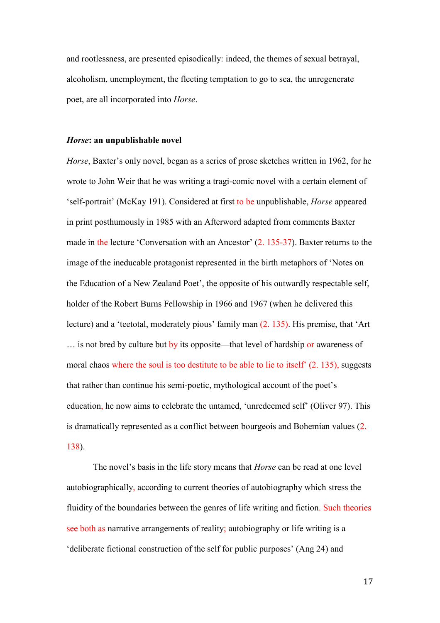and rootlessness, are presented episodically: indeed, the themes of sexual betrayal, alcoholism, unemployment, the fleeting temptation to go to sea, the unregenerate poet, are all incorporated into *Horse*.

#### *Horse***: an unpublishable novel**

*Horse*, Baxter's only novel, began as a series of prose sketches written in 1962, for he wrote to John Weir that he was writing a tragi-comic novel with a certain element of 'self-portrait' (McKay 191). Considered at first to be unpublishable, *Horse* appeared in print posthumously in 1985 with an Afterword adapted from comments Baxter made in the lecture 'Conversation with an Ancestor' (2. 135-37). Baxter returns to the image of the ineducable protagonist represented in the birth metaphors of 'Notes on the Education of a New Zealand Poet', the opposite of his outwardly respectable self, holder of the Robert Burns Fellowship in 1966 and 1967 (when he delivered this lecture) and a 'teetotal, moderately pious' family man (2. 135). His premise, that 'Art … is not bred by culture but by its opposite—that level of hardship or awareness of moral chaos where the soul is too destitute to be able to lie to itself' (2. 135), suggests that rather than continue his semi-poetic, mythological account of the poet's education, he now aims to celebrate the untamed, 'unredeemed self' (Oliver 97). This is dramatically represented as a conflict between bourgeois and Bohemian values (2. 138).

The novel's basis in the life story means that *Horse* can be read at one level autobiographically, according to current theories of autobiography which stress the fluidity of the boundaries between the genres of life writing and fiction. Such theories see both as narrative arrangements of reality; autobiography or life writing is a 'deliberate fictional construction of the self for public purposes' (Ang 24) and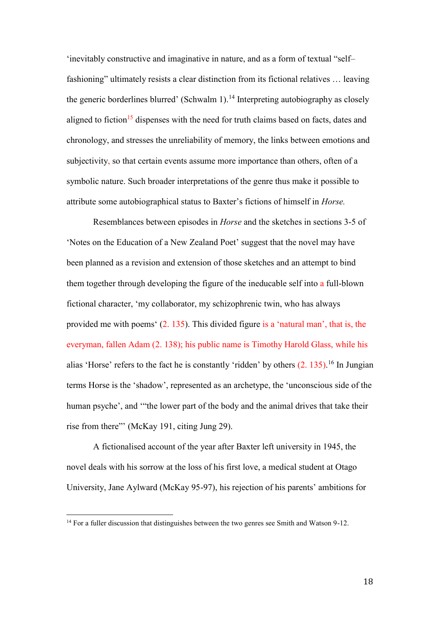'inevitably constructive and imaginative in nature, and as a form of textual "self– fashioning" ultimately resists a clear distinction from its fictional relatives ... leaving the generic borderlines blurred' (Schwalm 1).<sup>14</sup> Interpreting autobiography as closely aligned to fiction<sup>15</sup> dispenses with the need for truth claims based on facts, dates and chronology, and stresses the unreliability of memory, the links between emotions and subjectivity, so that certain events assume more importance than others, often of a symbolic nature. Such broader interpretations of the genre thus make it possible to attribute some autobiographical status to Baxter's fictions of himself in *Horse.*

Resemblances between episodes in *Horse* and the sketches in sections 3-5 of 'Notes on the Education of a New Zealand Poet' suggest that the novel may have been planned as a revision and extension of those sketches and an attempt to bind them together through developing the figure of the ineducable self into a full-blown fictional character, 'my collaborator, my schizophrenic twin, who has always provided me with poems' (2. 135). This divided figure is a 'natural man', that is, the everyman, fallen Adam (2. 138); his public name is Timothy Harold Glass, while his alias 'Horse' refers to the fact he is constantly 'ridden' by others (2. 135).<sup>16</sup> In Jungian terms Horse is the 'shadow', represented as an archetype, the 'unconscious side of the human psyche', and '"the lower part of the body and the animal drives that take their rise from there"' (McKay 191, citing Jung 29).

A fictionalised account of the year after Baxter left university in 1945, the novel deals with his sorrow at the loss of his first love, a medical student at Otago University, Jane Aylward (McKay 95-97), his rejection of his parents' ambitions for

<sup>&</sup>lt;sup>14</sup> For a fuller discussion that distinguishes between the two genres see Smith and Watson 9-12.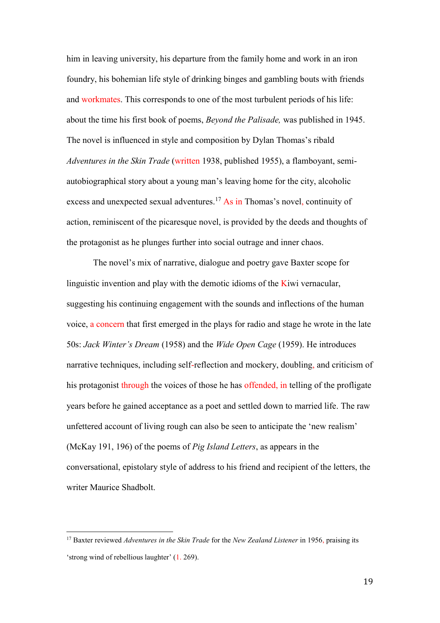him in leaving university, his departure from the family home and work in an iron foundry, his bohemian life style of drinking binges and gambling bouts with friends and workmates. This corresponds to one of the most turbulent periods of his life: about the time his first book of poems, *Beyond the Palisade,* was published in 1945. The novel is influenced in style and composition by Dylan Thomas's ribald *Adventures in the Skin Trade* (written 1938, published 1955), a flamboyant, semiautobiographical story about a young man's leaving home for the city, alcoholic excess and unexpected sexual adventures.<sup>17</sup> As in Thomas's novel, continuity of action, reminiscent of the picaresque novel, is provided by the deeds and thoughts of the protagonist as he plunges further into social outrage and inner chaos.

The novel's mix of narrative, dialogue and poetry gave Baxter scope for linguistic invention and play with the demotic idioms of the Kiwi vernacular, suggesting his continuing engagement with the sounds and inflections of the human voice, a concern that first emerged in the plays for radio and stage he wrote in the late 50s: *Jack Winter's Dream* (1958) and the *Wide Open Cage* (1959). He introduces narrative techniques, including self-reflection and mockery, doubling, and criticism of his protagonist through the voices of those he has offended, in telling of the profligate years before he gained acceptance as a poet and settled down to married life. The raw unfettered account of living rough can also be seen to anticipate the 'new realism' (McKay 191, 196) of the poems of *Pig Island Letters*, as appears in the conversational, epistolary style of address to his friend and recipient of the letters, the writer Maurice Shadbolt.

<sup>17</sup> Baxter reviewed *Adventures in the Skin Trade* for the *New Zealand Listener* in 1956, praising its 'strong wind of rebellious laughter' (1. 269).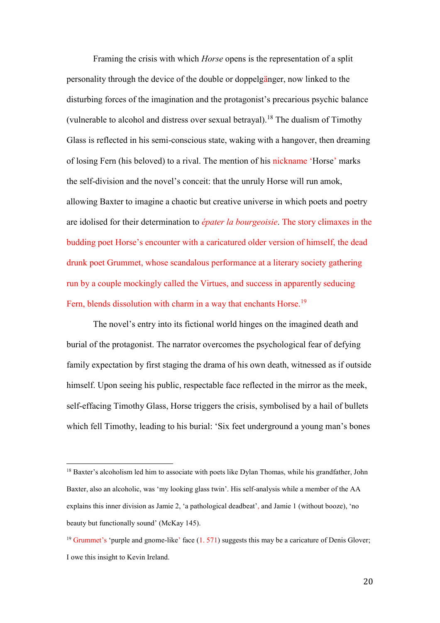Framing the crisis with which *Horse* opens is the representation of a split personality through the device of the double or doppelgänger, now linked to the disturbing forces of the imagination and the protagonist's precarious psychic balance (vulnerable to alcohol and distress over sexual betrayal).<sup>18</sup> The dualism of Timothy Glass is reflected in his semi-conscious state, waking with a hangover, then dreaming of losing Fern (his beloved) to a rival. The mention of his nickname 'Horse' marks the self-division and the novel's conceit: that the unruly Horse will run amok, allowing Baxter to imagine a chaotic but creative universe in which poets and poetry are idolised for their determination to *épater la bourgeoisie*. The story climaxes in the budding poet Horse's encounter with a caricatured older version of himself, the dead drunk poet Grummet, whose scandalous performance at a literary society gathering run by a couple mockingly called the Virtues, and success in apparently seducing Fern, blends dissolution with charm in a way that enchants Horse.<sup>19</sup>

The novel's entry into its fictional world hinges on the imagined death and burial of the protagonist. The narrator overcomes the psychological fear of defying family expectation by first staging the drama of his own death, witnessed as if outside himself. Upon seeing his public, respectable face reflected in the mirror as the meek, self-effacing Timothy Glass, Horse triggers the crisis, symbolised by a hail of bullets which fell Timothy, leading to his burial: 'Six feet underground a young man's bones

<sup>&</sup>lt;sup>18</sup> Baxter's alcoholism led him to associate with poets like Dylan Thomas, while his grandfather, John Baxter, also an alcoholic, was 'my looking glass twin'. His self-analysis while a member of the AA explains this inner division as Jamie 2, 'a pathological deadbeat', and Jamie 1 (without booze), 'no beauty but functionally sound' (McKay 145).

<sup>&</sup>lt;sup>19</sup> Grummet's 'purple and gnome-like' face  $(1.571)$  suggests this may be a caricature of Denis Glover; I owe this insight to Kevin Ireland.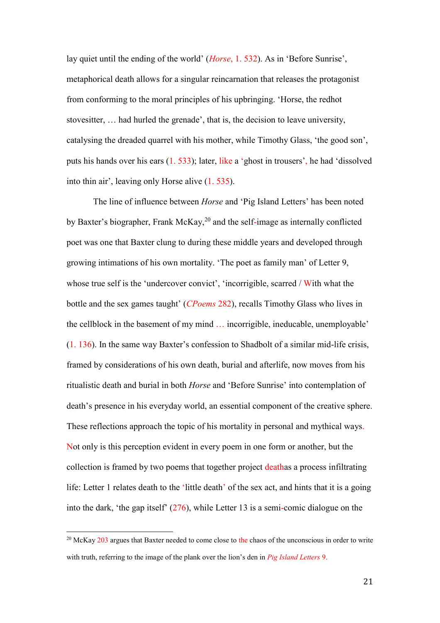lay quiet until the ending of the world' (*Horse*, 1. 532). As in 'Before Sunrise', metaphorical death allows for a singular reincarnation that releases the protagonist from conforming to the moral principles of his upbringing. 'Horse, the redhot stovesitter, … had hurled the grenade', that is, the decision to leave university, catalysing the dreaded quarrel with his mother, while Timothy Glass, 'the good son', puts his hands over his ears (1. 533); later, like a 'ghost in trousers', he had 'dissolved into thin air', leaving only Horse alive (1. 535).

The line of influence between *Horse* and 'Pig Island Letters' has been noted by Baxter's biographer, Frank McKay,  $^{20}$  and the self-image as internally conflicted poet was one that Baxter clung to during these middle years and developed through growing intimations of his own mortality. 'The poet as family man' of Letter 9, whose true self is the 'undercover convict', 'incorrigible, scarred / With what the bottle and the sex games taught' (*CPoems* 282), recalls Timothy Glass who lives in the cellblock in the basement of my mind … incorrigible, ineducable, unemployable' (1. 136). In the same way Baxter's confession to Shadbolt of a similar mid-life crisis, framed by considerations of his own death, burial and afterlife, now moves from his ritualistic death and burial in both *Horse* and 'Before Sunrise' into contemplation of death's presence in his everyday world, an essential component of the creative sphere. These reflections approach the topic of his mortality in personal and mythical ways. Not only is this perception evident in every poem in one form or another, but the collection is framed by two poems that together project deathas a process infiltrating life: Letter 1 relates death to the 'little death' of the sex act, and hints that it is a going into the dark, 'the gap itself' (276), while Letter 13 is a semi-comic dialogue on the

<sup>&</sup>lt;sup>20</sup> McKay 203 argues that Baxter needed to come close to the chaos of the unconscious in order to write with truth, referring to the image of the plank over the lion's den in *Pig Island Letters* 9.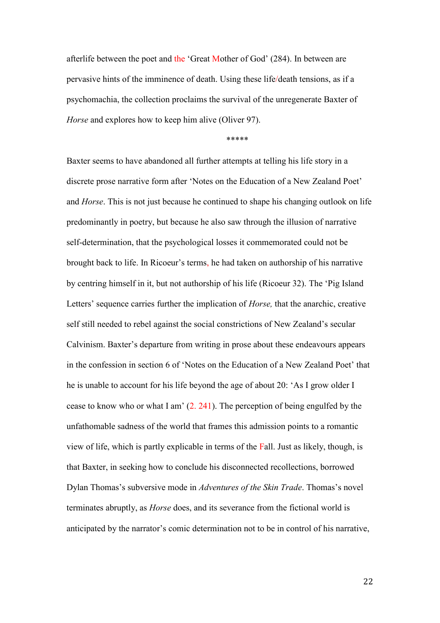afterlife between the poet and the 'Great Mother of God' (284). In between are pervasive hints of the imminence of death. Using these life/death tensions, as if a psychomachia, the collection proclaims the survival of the unregenerate Baxter of *Horse* and explores how to keep him alive (Oliver 97).

\*\*\*\*\*

Baxter seems to have abandoned all further attempts at telling his life story in a discrete prose narrative form after 'Notes on the Education of a New Zealand Poet' and *Horse*. This is not just because he continued to shape his changing outlook on life predominantly in poetry, but because he also saw through the illusion of narrative self-determination, that the psychological losses it commemorated could not be brought back to life. In Ricoeur's terms, he had taken on authorship of his narrative by centring himself in it, but not authorship of his life (Ricoeur 32). The 'Pig Island Letters' sequence carries further the implication of *Horse,* that the anarchic, creative self still needed to rebel against the social constrictions of New Zealand's secular Calvinism. Baxter's departure from writing in prose about these endeavours appears in the confession in section 6 of 'Notes on the Education of a New Zealand Poet' that he is unable to account for his life beyond the age of about 20: 'As I grow older I cease to know who or what I am' (2. 241). The perception of being engulfed by the unfathomable sadness of the world that frames this admission points to a romantic view of life, which is partly explicable in terms of the Fall. Just as likely, though, is that Baxter, in seeking how to conclude his disconnected recollections, borrowed Dylan Thomas's subversive mode in *Adventures of the Skin Trade*. Thomas's novel terminates abruptly, as *Horse* does, and its severance from the fictional world is anticipated by the narrator's comic determination not to be in control of his narrative,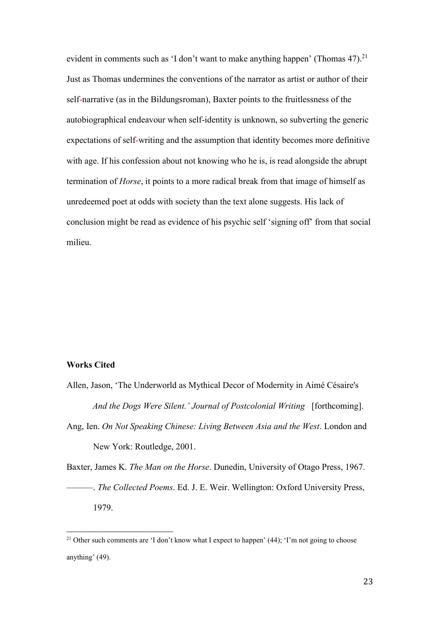evident in comments such as 'I don't want to make anything happen' (Thomas  $47$ ).<sup>21</sup> Just as Thomas undermines the conventions of the narrator as artist or author of their self-narrative (as in the Bildungsroman), Baxter points to the fruitlessness of the autobiographical endeavour when self-identity is unknown, so subverting the generic expectations of self-writing and the assumption that identity becomes more definitive with age. If his confession about not knowing who he is, is read alongside the abrupt termination of *Horse*, it points to a more radical break from that image of himself as unredeemed poet at odds with society than the text alone suggests. His lack of conclusion might be read as evidence of his psychic self 'signing off' from that social milieu.

## **Works Cited**

 $\overline{\phantom{a}}$ 

Allen, Jason, 'The Underworld as Mythical Decor of Modernity in Aimé Césaire's *And the Dogs Were Silent.' Journal of Postcolonial Writing* [forthcoming]. Ang, Ien. *On Not Speaking Chinese: Living Between Asia and the West*. London and New York: Routledge, 2001. Baxter, James K. *The Man on the Horse*. Dunedin, University of Otago Press, 1967.

———. *The Collected Poems*. Ed. J. E. Weir. Wellington: Oxford University Press, 1979.

<sup>&</sup>lt;sup>21</sup> Other such comments are 'I don't know what I expect to happen' (44); 'I'm not going to choose anything' (49).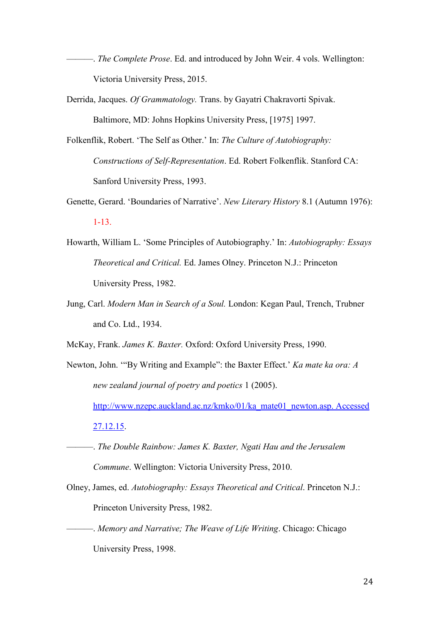- ———. *The Complete Prose*. Ed. and introduced by John Weir. 4 vols. Wellington: Victoria University Press, 2015.
- Derrida, Jacques. *Of Grammatology.* Trans. by Gayatri Chakravorti Spivak. Baltimore, MD: Johns Hopkins University Press, [1975] 1997.
- Folkenflik, Robert. 'The Self as Other.' In: *The Culture of Autobiography: Constructions of Self-Representation*. Ed. Robert Folkenflik. Stanford CA: Sanford University Press, 1993.
- Genette, Gerard. 'Boundaries of Narrative'. *New Literary History* 8.1 (Autumn 1976): 1-13.
- Howarth, William L. 'Some Principles of Autobiography.' In: *Autobiography: Essays Theoretical and Critical.* Ed. James Olney. Princeton N.J.: Princeton University Press, 1982.
- Jung, Carl. *Modern Man in Search of a Soul.* London: Kegan Paul, Trench, Trubner and Co. Ltd., 1934.
- McKay, Frank. *James K. Baxter.* Oxford: Oxford University Press, 1990.
- Newton, John. '"By Writing and Example": the Baxter Effect.' *Ka mate ka ora: A new zealand journal of poetry and poetics* 1 (2005). [http://www.nzepc.auckland.ac.nz/kmko/01/ka\\_mate01\\_newton.asp. Accessed](http://www.nzepc.auckland.ac.nz/kmko/01/ka_mate01_newton.asp.%20Accessed%2027.12.15)  [27.12.15.](http://www.nzepc.auckland.ac.nz/kmko/01/ka_mate01_newton.asp.%20Accessed%2027.12.15)
	- ———. *The Double Rainbow: James K. Baxter, Ngati Hau and the Jerusalem Commune*. Wellington: Victoria University Press, 2010.
- Olney, James, ed. *Autobiography: Essays Theoretical and Critical*. Princeton N.J.: Princeton University Press, 1982.
- ———. *Memory and Narrative; The Weave of Life Writing*. Chicago: Chicago University Press, 1998.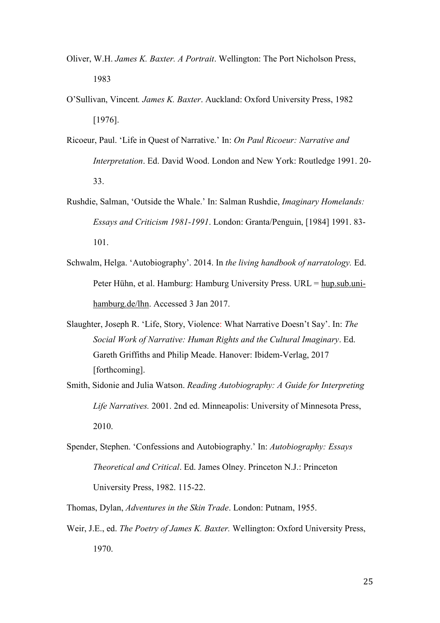- Oliver, W.H. *James K. Baxter. A Portrait*. Wellington: The Port Nicholson Press, 1983
- O'Sullivan, Vincent*. James K. Baxter*. Auckland: Oxford University Press, 1982 [1976].
- Ricoeur, Paul. 'Life in Quest of Narrative.' In: *On Paul Ricoeur: Narrative and Interpretation*. Ed. David Wood. London and New York: Routledge 1991. 20- 33.
- Rushdie, Salman, 'Outside the Whale.' In: Salman Rushdie, *Imaginary Homelands: Essays and Criticism 1981-1991*. London: Granta/Penguin, [1984] 1991. 83- 101.
- Schwalm, Helga. 'Autobiography'. 2014. In *the living handbook of narratology.* Ed. Peter Hühn, et al. Hamburg: Hamburg University Press. URL = [hup.sub.uni](http://hup.sub.uni-hamburg.de/lhn)[hamburg.de/lhn.](http://hup.sub.uni-hamburg.de/lhn) Accessed 3 Jan 2017.
- Slaughter, Joseph R. 'Life, Story, Violence: What Narrative Doesn't Say'. In: *The Social Work of Narrative: Human Rights and the Cultural Imaginary*. Ed. Gareth Griffiths and Philip Meade. Hanover: Ibidem-Verlag, 2017 [forthcoming].
- Smith, Sidonie and Julia Watson. *Reading Autobiography: A Guide for Interpreting Life Narratives.* 2001. 2nd ed. Minneapolis: University of Minnesota Press, 2010.
- Spender, Stephen. 'Confessions and Autobiography.' In: *Autobiography: Essays Theoretical and Critical*. Ed. James Olney. Princeton N.J.: Princeton University Press, 1982. 115-22.
- Thomas, Dylan, *Adventures in the Skin Trade*. London: Putnam, 1955.
- Weir, J.E., ed. *The Poetry of James K. Baxter.* Wellington: Oxford University Press, 1970.